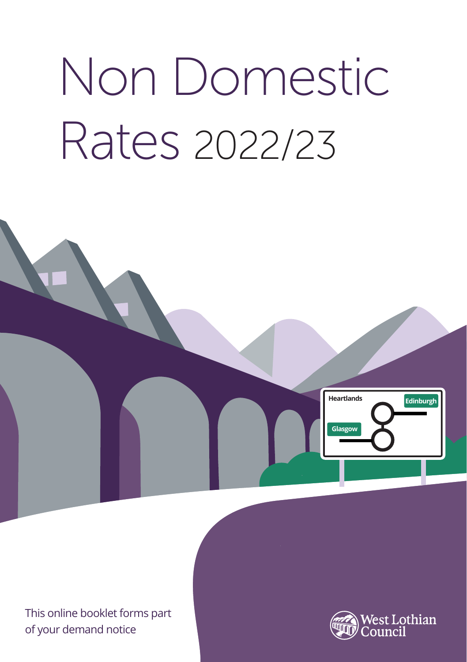# Non Domestic Rates 2022/23



This online booklet forms part

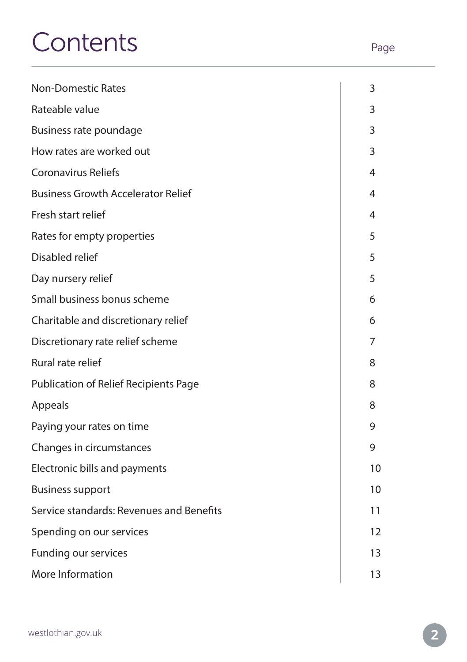# Contents Page

| <b>Non-Domestic Rates</b>                 | 3  |
|-------------------------------------------|----|
| Rateable value                            | 3  |
| Business rate poundage                    | 3  |
| How rates are worked out                  | 3  |
| Coronavirus Reliefs                       | 4  |
| <b>Business Growth Accelerator Relief</b> | 4  |
| Fresh start relief                        | 4  |
| Rates for empty properties                | 5  |
| Disabled relief                           | 5  |
| Day nursery relief                        | 5  |
| Small business bonus scheme               | 6  |
| Charitable and discretionary relief       | 6  |
| Discretionary rate relief scheme          | 7  |
| Rural rate relief                         | 8  |
| Publication of Relief Recipients Page     | 8  |
| Appeals                                   | 8  |
| Paying your rates on time                 | 9  |
| Changes in circumstances                  | 9  |
| Electronic bills and payments             | 10 |
| <b>Business support</b>                   | 10 |
| Service standards: Revenues and Benefits  | 11 |
| Spending on our services                  | 12 |
| Funding our services                      | 13 |
| More Information                          | 13 |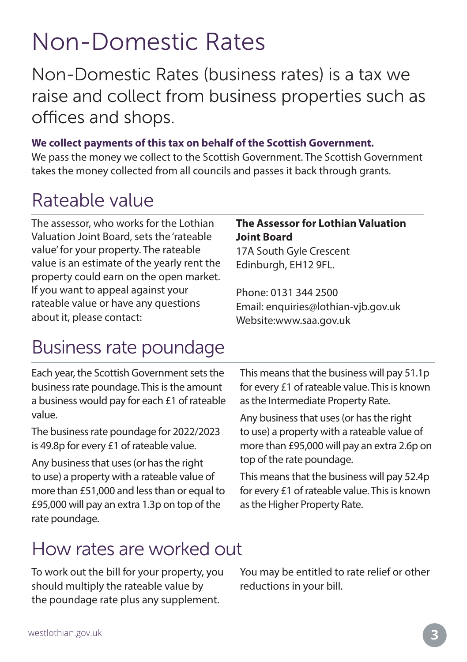## Non-Domestic Rates

Non-Domestic Rates (business rates) is a tax we raise and collect from business properties such as offices and shops.

#### **We collect payments of this tax on behalf of the Scottish Government.**

We pass the money we collect to the Scottish Government. The Scottish Government takes the money collected from all councils and passes it back through grants.

#### Rateable value

The assessor, who works for the Lothian Valuation Joint Board, sets the 'rateable value' for your property. The rateable value is an estimate of the yearly rent the property could earn on the open market. If you want to appeal against your rateable value or have any questions about it, please contact:

#### **The Assessor for Lothian Valuation Joint Board**

17A South Gyle Crescent Edinburgh, EH12 9FL.

Phone: 0131 344 2500 Email: enquiries@lothian-vjb.gov.uk Website:www.saa.gov.uk

### Business rate poundage

Each year, the Scottish Government sets the business rate poundage. This is the amount a business would pay for each £1 of rateable value.

The business rate poundage for 2022/2023 is 49.8p for every £1 of rateable value.

Any business that uses (or has the right to use) a property with a rateable value of more than £51,000 and less than or equal to £95,000 will pay an extra 1.3p on top of the rate poundage.

This means that the business will pay 51.1p for every £1 of rateable value. This is known as the Intermediate Property Rate.

Any business that uses (or has the right to use) a property with a rateable value of more than £95,000 will pay an extra 2.6p on top of the rate poundage.

This means that the business will pay 52.4p for every £1 of rateable value. This is known as the Higher Property Rate.

### How rates are worked out

To work out the bill for your property, you should multiply the rateable value by the poundage rate plus any supplement.

You may be entitled to rate relief or other reductions in your bill.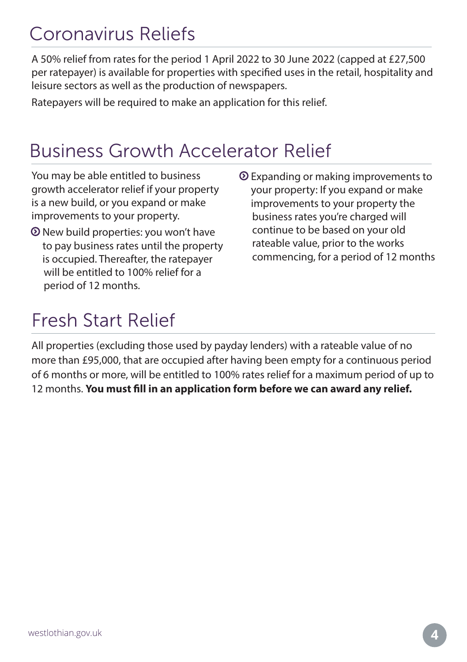#### Coronavirus Reliefs

A 50% relief from rates for the period 1 April 2022 to 30 June 2022 (capped at £27,500 per ratepayer) is available for properties with specified uses in the retail, hospitality and leisure sectors as well as the production of newspapers.

Ratepayers will be required to make an application for this relief.

### Business Growth Accelerator Relief

You may be able entitled to business growth accelerator relief if your property is a new build, or you expand or make improvements to your property.

- New build properties: you won't have to pay business rates until the property is occupied. Thereafter, the ratepayer will be entitled to 100% relief for a period of 12 months.
- Expanding or making improvements to your property: If you expand or make improvements to your property the business rates you're charged will continue to be based on your old rateable value, prior to the works commencing, for a period of 12 months

### Fresh Start Relief

All properties (excluding those used by payday lenders) with a rateable value of no more than £95,000, that are occupied after having been empty for a continuous period of 6 months or more, will be entitled to 100% rates relief for a maximum period of up to 12 months. **You must fill in an application form before we can award any relief.**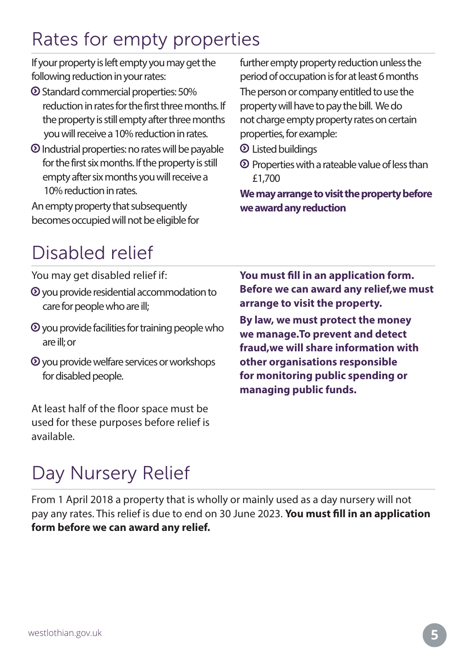### Rates for empty properties

If your property is left empty you may get the following reduction in your rates:

- Standard commercial properties: 50% reduction in rates for the first three months. If the property is still empty after three months you will receive a 10% reduction in rates.
- Industrial properties: no rates will be payable for the first six months. If the property is still empty after six months you will receive a 10% reduction in rates.

An empty property that subsequently becomes occupied will not be eligible for further empty property reduction unless the period of occupation is for at least 6 months

The person or company entitled to use the property will have to pay the bill. We do not charge empty property rates on certain properties, for example:

- Listed buildings
- $\odot$  Properties with a rateable value of less than £1,700

**We may arrange to visit the property before we award any reduction**

### Disabled relief

You may get disabled relief if:

- $\odot$  you provide residential accommodation to care for people who are ill;
- $\odot$  you provide facilities for training people who are ill; or
- you provide welfare services or workshops for disabled people.

At least half of the floor space must be used for these purposes before relief is available.

**You must fill in an application form. Before we can award any relief,we must arrange to visit the property.** 

**By law, we must protect the money we manage.To prevent and detect fraud,we will share information with other organisations responsible for monitoring public spending or managing public funds.**

### Day Nursery Relief

From 1 April 2018 a property that is wholly or mainly used as a day nursery will not pay any rates. This relief is due to end on 30 June 2023. **You must fill in an application form before we can award any relief.**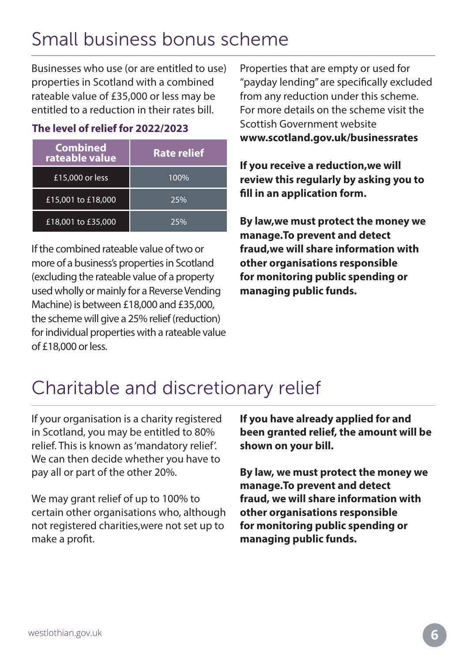### Small business bonus scheme

Businesses who use (or are entitled to use) properties in Scotland with a combined rateable value of £35,000 or less may be entitled to a reduction in their rates bill.

#### **The level of relief for 2022/2023**

| <b>Combined</b><br>rateable value | <b>Rate relief</b> |
|-----------------------------------|--------------------|
| £15,000 or less                   | 100%               |
| £15,001 to £18,000                | 25%                |
| £18,001 to £35,000                | 25%                |

If the combined rateable value of two or more of a business's properties in Scotland (excluding the rateable value of a property used wholly or mainly for a Reverse Vending Machine) is between £18,000 and £35,000, the scheme will give a 25% relief (reduction) for individual properties with a rateable value of £18,000 or less.

Properties that are empty or used for "payday lending" are specifically excluded from any reduction under this scheme. For more details on the scheme visit the Scottish Government website **www.scotland.gov.uk/businessrates**

**If you receive a reduction,we will review this regularly by asking you to fill in an application form.**

**By law,we must protect the money we manage.To prevent and detect fraud,we will share information with other organisations responsible for monitoring public spending or managing public funds.** 

### Charitable and discretionary relief

If your organisation is a charity registered in Scotland, you may be entitled to 80% relief. This is known as 'mandatory relief'. We can then decide whether you have to pay all or part of the other 20%.

We may grant relief of up to 100% to certain other organisations who, although not registered charities,were not set up to make a profit.

**If you have already applied for and been granted relief, the amount will be shown on your bill.**

**By law, we must protect the money we manage.To prevent and detect fraud, we will share information with other organisations responsible for monitoring public spending or managing public funds.**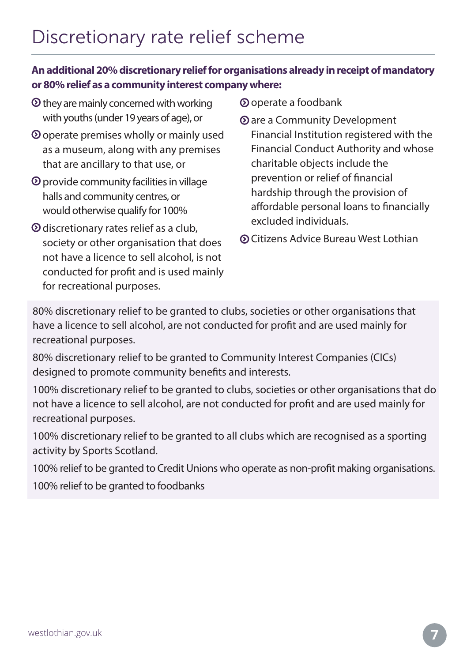#### **An additional 20% discretionary relief for organisations already in receipt of mandatory or 80% relief as a community interest company where:**

- $\odot$  they are mainly concerned with working with youths (under 19 years of age), or
- operate premises wholly or mainly used as a museum, along with any premises that are ancillary to that use, or
- $\odot$  provide community facilities in village halls and community centres, or would otherwise qualify for 100%
- discretionary rates relief as a club, society or other organisation that does not have a licence to sell alcohol, is not conducted for profit and is used mainly for recreational purposes.
- operate a foodbank
- are a Community Development Financial Institution registered with the Financial Conduct Authority and whose charitable objects include the prevention or relief of financial hardship through the provision of affordable personal loans to financially excluded individuals.
- Citizens Advice Bureau West Lothian

80% discretionary relief to be granted to clubs, societies or other organisations that have a licence to sell alcohol, are not conducted for profit and are used mainly for recreational purposes.

80% discretionary relief to be granted to Community Interest Companies (CICs) designed to promote community benefits and interests.

100% discretionary relief to be granted to clubs, societies or other organisations that do not have a licence to sell alcohol, are not conducted for profit and are used mainly for recreational purposes.

100% discretionary relief to be granted to all clubs which are recognised as a sporting activity by Sports Scotland.

100% relief to be granted to Credit Unions who operate as non-profit making organisations.

100% relief to be granted to foodbanks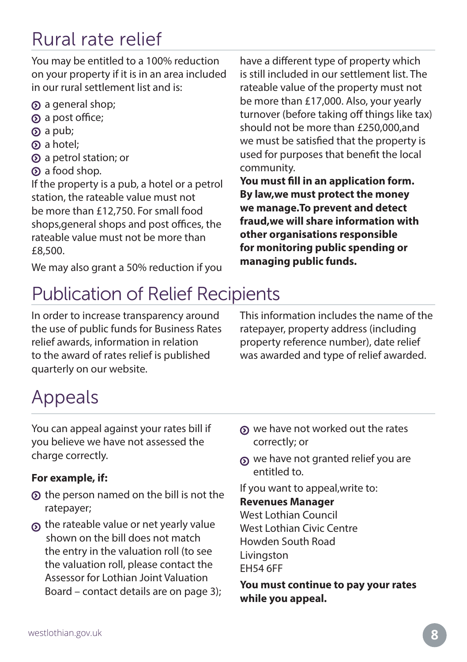### Rural rate relief

You may be entitled to a 100% reduction on your property if it is in an area included in our rural settlement list and is:

- a general shop;
- a post office;
- $\Omega$  a pub;
- a hotel;
- a petrol station; or
- $\Omega$  a food shop.

If the property is a pub, a hotel or a petrol station, the rateable value must not be more than £12,750. For small food shops,general shops and post offices, the rateable value must not be more than £8,500.

We may also grant a 50% reduction if you

have a different type of property which is still included in our settlement list. The rateable value of the property must not be more than £17,000. Also, your yearly turnover (before taking off things like tax) should not be more than £250,000,and we must be satisfied that the property is used for purposes that benefit the local community.

**You must fill in an application form. By law,we must protect the money we manage.To prevent and detect fraud,we will share information with other organisations responsible for monitoring public spending or managing public funds.**

### Publication of Relief Recipients

In order to increase transparency around the use of public funds for Business Rates relief awards, information in relation to the award of rates relief is published quarterly on our website.

This information includes the name of the ratepayer, property address (including property reference number), date relief was awarded and type of relief awarded.

### Appeals

You can appeal against your rates bill if you believe we have not assessed the charge correctly.

#### **For example, if:**

- $\odot$  the person named on the bill is not the ratepayer;
- the rateable value or net yearly value shown on the bill does not match the entry in the valuation roll (to see the valuation roll, please contact the Assessor for Lothian Joint Valuation Board – contact details are on page 3);
- $\Omega$  we have not worked out the rates correctly; or
- we have not granted relief you are entitled to.

If you want to appeal,write to:

#### **Revenues Manager**

West Lothian Council West Lothian Civic Centre Howden South Road Livingston EH54 6FF

**You must continue to pay your rates while you appeal.**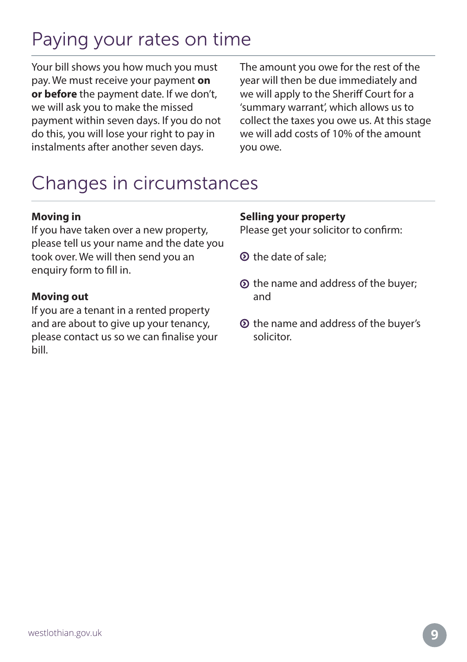### Paying your rates on time

Your bill shows you how much you must pay. We must receive your payment **on or before** the payment date. If we don't, we will ask you to make the missed payment within seven days. If you do not do this, you will lose your right to pay in instalments after another seven days.

The amount you owe for the rest of the year will then be due immediately and we will apply to the Sheriff Court for a 'summary warrant', which allows us to collect the taxes you owe us. At this stage we will add costs of 10% of the amount you owe.

### Changes in circumstances

#### **Moving in**

If you have taken over a new property, please tell us your name and the date you took over. We will then send you an enquiry form to fill in.

#### **Moving out**

If you are a tenant in a rented property and are about to give up your tenancy, please contact us so we can finalise your bill.

#### **Selling your property**

Please get your solicitor to confirm:

- the date of sale;
- $\odot$  the name and address of the buyer; and
- $\odot$  the name and address of the buyer's solicitor.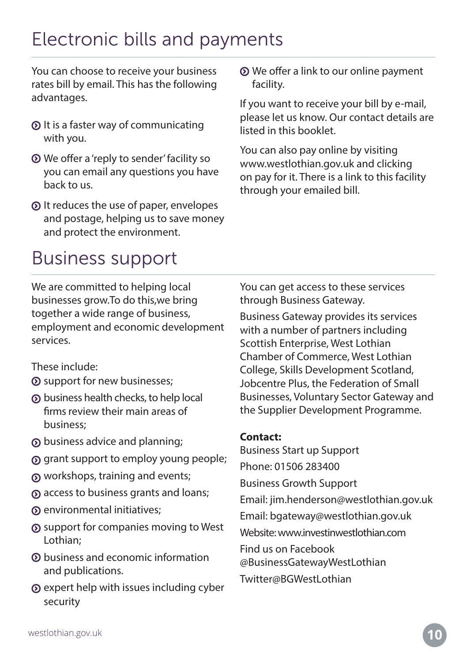### Electronic bills and payments

You can choose to receive your business rates bill by email. This has the following advantages.

- $\odot$  It is a faster way of communicating with you.
- We offer a 'reply to sender' facility so you can email any questions you have back to us.
- It reduces the use of paper, envelopes and postage, helping us to save money and protect the environment.

We offer a link to our online payment facility.

If you want to receive your bill by e-mail, please let us know. Our contact details are listed in this booklet.

You can also pay online by visiting www.westlothian.gov.uk and clicking on pay for it. There is a link to this facility through your emailed bill.

### Business support

We are committed to helping local businesses grow.To do this,we bring together a wide range of business, employment and economic development services.

These include:

- support for new businesses;
- business health checks, to help local firms review their main areas of business;
- business advice and planning;
- grant support to employ young people;
- workshops, training and events;
- access to business grants and loans;
- environmental initiatives;
- support for companies moving to West Lothian;
- business and economic information and publications.
- $\odot$  expert help with issues including cyber security

You can get access to these services through Business Gateway.

Business Gateway provides its services with a number of partners including Scottish Enterprise, West Lothian Chamber of Commerce, West Lothian College, Skills Development Scotland, Jobcentre Plus, the Federation of Small Businesses, Voluntary Sector Gateway and the Supplier Development Programme.

#### **Contact:**

Business Start up Support Phone: 01506 283400 Business Growth Support Email: jim.henderson@westlothian.gov.uk Email: bgateway@westlothian.gov.uk Website: www.investinwestlothian.com Find us on Facebook @BusinessGatewayWestLothian Twitter@BGWestLothian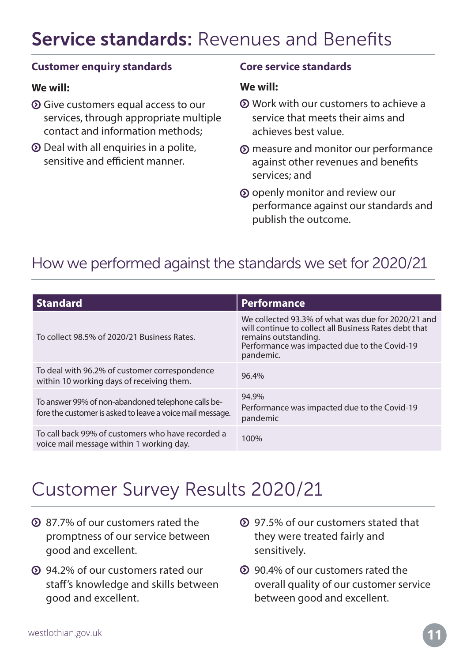### Service standards: Revenues and Benefits

#### **Customer enquiry standards**

#### **We will:**

- Give customers equal access to our services, through appropriate multiple contact and information methods;
- Deal with all enquiries in a polite, sensitive and efficient manner.

#### **Core service standards**

#### **We will:**

- Work with our customers to achieve a service that meets their aims and achieves best value.
- measure and monitor our performance against other revenues and benefits services; and
- openly monitor and review our performance against our standards and publish the outcome.

#### How we performed against the standards we set for 2020/21

| <b>Standard</b>                                                                                                 | <b>Performance</b>                                                                                                                                                                               |
|-----------------------------------------------------------------------------------------------------------------|--------------------------------------------------------------------------------------------------------------------------------------------------------------------------------------------------|
| To collect 98.5% of 2020/21 Business Rates.                                                                     | We collected 93.3% of what was due for 2020/21 and<br>will continue to collect all Business Rates debt that<br>remains outstanding.<br>Performance was impacted due to the Covid-19<br>pandemic. |
| To deal with 96.2% of customer correspondence<br>within 10 working days of receiving them.                      | 96.4%                                                                                                                                                                                            |
| To answer 99% of non-abandoned telephone calls be-<br>fore the customer is asked to leave a voice mail message. | 94.9%<br>Performance was impacted due to the Covid-19<br>pandemic                                                                                                                                |
| To call back 99% of customers who have recorded a<br>voice mail message within 1 working day.                   | 100%                                                                                                                                                                                             |

#### Customer Survey Results 2020/21

- 87.7% of our customers rated the promptness of our service between good and excellent.
- 94.2% of our customers rated our staff's knowledge and skills between good and excellent.
- 97.5% of our customers stated that they were treated fairly and sensitively.
- 90.4% of our customers rated the overall quality of our customer service between good and excellent.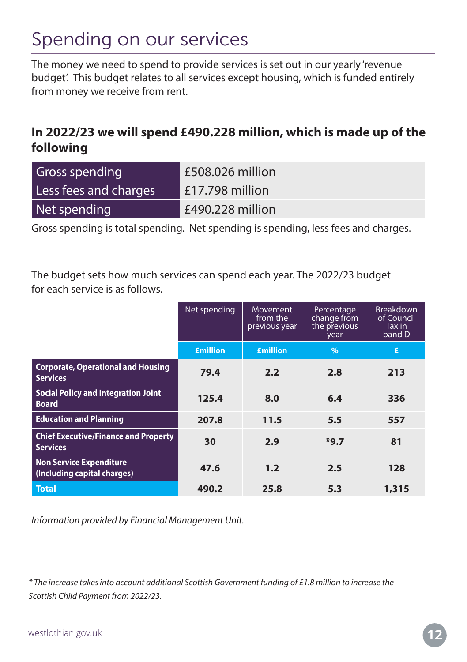### Spending on our services

The money we need to spend to provide services is set out in our yearly 'revenue budget'. This budget relates to all services except housing, which is funded entirely from money we receive from rent.

#### **In 2022/23 we will spend £490.228 million, which is made up of the following**

| <b>Gross spending</b> | £508.026 million |
|-----------------------|------------------|
| Less fees and charges | £17.798 million  |
| Net spending          | £490.228 million |

Gross spending is total spending. Net spending is spending, less fees and charges.

The budget sets how much services can spend each year. The 2022/23 budget for each service is as follows.

|                                                                | Net spending    | <b>Movement</b><br>from the<br>previous year | Percentage<br>change from<br>the previous<br>year | <b>Breakdown</b><br>of Council<br>Tax in<br>band D |
|----------------------------------------------------------------|-----------------|----------------------------------------------|---------------------------------------------------|----------------------------------------------------|
|                                                                | <b>£million</b> | <b>£million</b>                              | $\frac{0}{0}$                                     | £                                                  |
| <b>Corporate, Operational and Housing</b><br><b>Services</b>   | 79.4            | 2.2                                          | 2.8                                               | 213                                                |
| <b>Social Policy and Integration Joint</b><br><b>Board</b>     | 125.4           | 8.0                                          | 6.4                                               | 336                                                |
| <b>Education and Planning</b>                                  | 207.8           | 11.5                                         | 5.5                                               | 557                                                |
| <b>Chief Executive/Finance and Property</b><br><b>Services</b> | 30              | 2.9                                          | $*9.7$                                            | 81                                                 |
| <b>Non Service Expenditure</b><br>(Including capital charges)  | 47.6            | 1.2                                          | 2.5                                               | 128                                                |
| <b>Total</b>                                                   | 490.2           | 25.8                                         | 5.3                                               | 1,315                                              |

*Information provided by Financial Management Unit.*

*\* The increase takes into account additional Scottish Government funding of £1.8 million to increase the Scottish Child Payment from 2022/23.*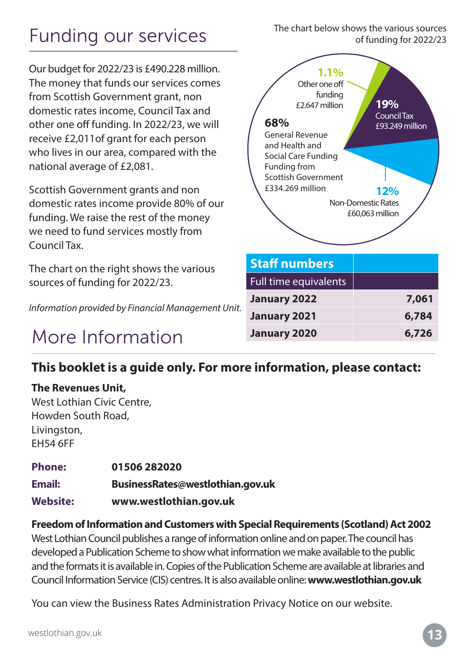### Funding our services

Our budget for 2022/23 is £490.228 million. The money that funds our services comes from Scottish Government grant, non domestic rates income, Council Tax and other one off funding. In 2022/23, we will receive £2,011of grant for each person who lives in our area, compared with the national average of £2,081.

Scottish Government grants and non domestic rates income provide 80% of our funding. We raise the rest of the money we need to fund services mostly from Council Tax.

The chart on the right shows the various sources of funding for 2022/23.

*Information provided by Financial Management Unit.*

#### More Information





#### **This booklet is a guide only. For more information, please contact:**

#### **The Revenues Unit,**

West Lothian Civic Centre, Howden South Road, Livingston, EH54 6FF

| <b>Phone:</b>   | 01506 282020                     |
|-----------------|----------------------------------|
| Email:          | BusinessRates@westlothian.gov.uk |
| <b>Website:</b> | www.westlothian.gov.uk           |

**Freedom of Information and Customers with Special Requirements (Scotland) Act 2002**  West Lothian Council publishes a range of information online and on paper. The council has developed a Publication Scheme to show what information we make available to the public and the formats it is available in. Copies of the Publication Scheme are available at libraries and Council Information Service (CIS) centres. It is also available online: **www.westlothian.gov.uk** 

You can view the Business Rates Administration Privacy Notice on our website.